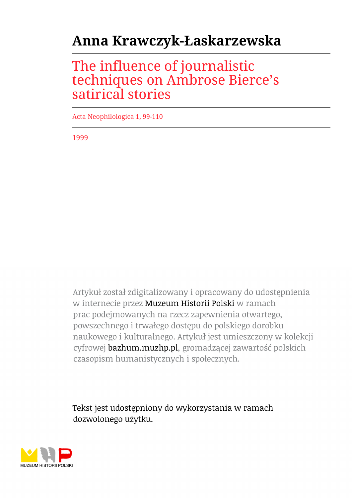## **Anna Krawczyk-Łaskarzewska**

## The influence of journalistic techniques on Ambrose Bierce's satirical stories

Acta Neophilologica 1, 99-110

1999

Artykuł został zdigitalizowany i opracowany do udostępnienia w internecie przez Muzeum Historii Polski w ramach prac podejmowanych na rzecz zapewnienia otwartego, powszechnego i trwałego dostępu do polskiego dorobku naukowego i kulturalnego. Artykuł jest umieszczony w kolekcji cyfrowej bazhum.muzhp.pl, gromadzącej zawartość polskich czasopism humanistycznych i społecznych.

Tekst jest udostępniony do wykorzystania w ramach dozwolonego użytku.

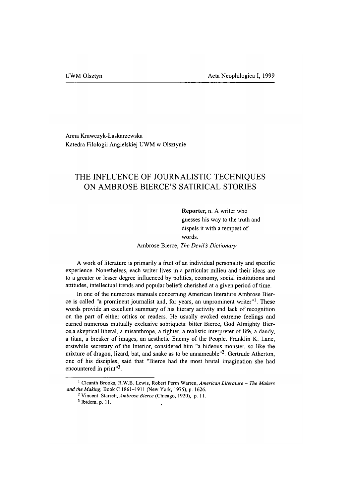Anna Krawczyk-Łaskarzewska Katedra Filologii Angielskiej UWM w Olsztynie

## **THE INFLUENCE OF JOURNALISTIC TECHNIQUES ON AMBROSE BIERCE'S SATIRICAL STORIES**

Reporter, n. A writer who guesses his way to the truth and dispels it with a tempest of words.

Ambrose Bierce, *The Devil's Dictionary* 

A work of literature is primarily a fruit of an individual personality and specific experience. Nonetheless, each writer lives in a particular milieu and their ideas are to a greater or lesser degree influenced by politics, economy, social institutions and attitudes, intellectual trends and popular beliefs cherished at a given period of time.

In one of the numerous manuals concerning American literature Ambrose Bierce is called "a prominent journalist and, for years, an unprominent writer"1. These words provide an excellent summary of his literary activity and lack of recognition on the part of either critics or readers. He usually evoked extreme feelings and earned numerous mutually exclusive sobriquets: bitter Bierce, God Almighty Bierce,a skeptical liberal, a misanthrope, a fighter, a realistic interpreter of life, a dandy, a titan, a breaker of images, an aesthetic Enemy of the People. Franklin K. Lane, erstwhile secretary of the Interior, considered him "a hideous monster, so like the mixture of dragon, lizard, bat, and snake as to be unnameable $12$ . Gertrude Atherton, one of his disciples, said that "Bierce had the most brutal imagination she had encountered in print"3.

**<sup>1</sup> Cleanth Brooks, R.W.B. Lewis, Robert Perm Warren,** *American Literature - The Makers and the Making,* **Book C 1861-1911 (New York, 1975), p. 1626.**

**<sup>2</sup> Vincent Starrett,** *Ambrose Bierce* **(Chicago, 1920), p. 11.**

**<sup>3</sup> Ibidem, p. 11.**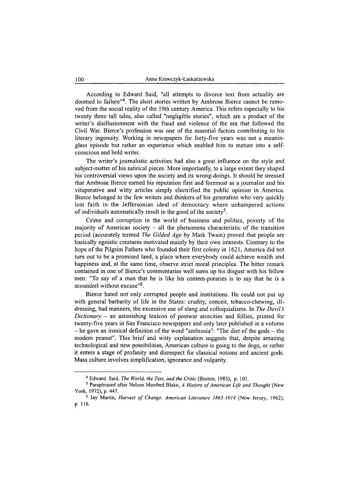According to Edward Said, "all attempts to divorce text from actuality are doomed to failure"4. The short stories written by Ambrose Bierce cannot be removed from the social reality of the 19th century America. This refers especially to his twenty three tall tales, also called "negligible stories", which are a product of the writer's disillusionment with the fraud and violence of the era that followed the Civil War. Bierce's profession was one of the essential factors contributing to his literary ingenuity. Working in newspapers for forty-five years was not a meaningless episode but rather an experience which enabled him to mature into a selfconscious and bold writer.

The writer's journalistic activities had also a great influence on the style and subject-matter of his satirical pieces. More importantly, to a large extent they shaped his controversial views upon the society and its wrong-doings. It should be stressed that Ambrose Bierce earned his reputation first and foremost as a journalist and his vituperative and witty articles simply electrified the public opinion in America. Bierce belonged to the few writers and thinkers of his generation who very quickly lost faith in the Jeffersonian ideal of democracy where unhampered actions of individuals automatically result in the good of the society<sup>5</sup>.

Crime and corruption in the world of business and politics, poverty of the majority of American society  $-$  all the phenomena characteristic of the transition period (accurately termed *The Gilded Age* by Mark Twain) proved that people are basically egoistic creatures motivated mainly by their own interests. Contrary to the hope of the Pilgrim Fathers who founded their first colony in 1621, America did not turn out to be a promised land, a place where everybody could achieve wealth and happiness and, at the same time, observe strict moral principles. The bitter remark contained in one of Bierce's commentaries well sums up his disgust with his fellow men: "To say of a man that he is like his contem-poraries is to say that he is a scoundrel without excuse"6.

Bierce hated not only corrupted people and institutions. He could not put up with general barbarity of life in the States: crudity, conceit, tobacco-chewing, illdressing, bad manners, the excessive use of slang and colloquialisms. In *The Devil s Dictionary* - an astonishing lexicon of postwar atrocities and follies, printed for twenty-five years in San Francisco newspapers and only later published in a volume  $-$  he gave an ironical definition of the word "ambrosia": "The diet of the gods  $-$  the modem peanut". This brief and witty explanation suggests that, despite amazing technological and new possibilities, American culture is going to the dogs, or rather it enters a stage of profanity and disrespect for classical notions and ancient gods. Mass culture involves simplification, ignorance and vulgarity.

**<sup>4</sup> Edward Said,** *The World, the Text, and the Critic* **(Boston, 1983), p. 101.**

<sup>&</sup>lt;sup>5</sup> Paraphrased after Nelson Manfred Blake, *A History of American Life and Thought* (New **York, 1972), p. 447.**

**<sup>6</sup> Jay Martin,** *Harvest of Change. American Literature 1865-1914* **(New Jersey, 1962), p. 116.**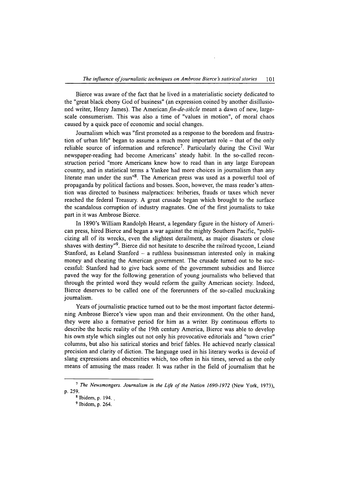Bierce was aware of the fact that he lived in a materialistic society dedicated to the "great black ebony God of business" (an expression coined by another disillusioned writer, Henry James). The American *fin-de-sikcle* meant a dawn of new, largescale consumerism. This was also a time of "values in motion", of moral chaos caused by a quick pace of economic and social changes.

Journalism which was "first promoted as a response to the boredom and frustration of urban life" began to assume a much more important role - that of the only reliable source of information and reference<sup>7</sup>. Particularly during the Civil War newspaper-reading had become Americans' steady habit. In the so-called reconstruction period "more Americans knew how to read than in any large European country, and in statistical terms a Yankee had more choices in journalism than any literate man under the sun"8. The American press was used as a powerful tool of propaganda by political factions and bosses. Soon, however, the mass reader's attention was directed to business malpractices: briberies, frauds or taxes which never reached the federal Treasury. A great crusade began which brought to the surface the scandalous corruption of industry magnates. One of the first journalists to take part in it was Ambrose Bierce.

In 1890's William Randolph Hearst, a legendary figure in the history of American press, hired Bierce and began a war against the mighty Southern Pacific, "publicizing all of its wrecks, even the slightest derailment, as major disasters or close shaves with destiny"9. Bierce did not hesitate to describe the railroad tycoon, Leiand Stanford, as Leland Stanford - a ruthless businessman interested only in making money and cheating the American government. The crusade turned out to be successful: Stanford had to give back some of the government subsidies and Bierce paved the way for the following generation of young journalists who believed that through the printed word they would reform the guilty American society. Indeed, Bierce deserves to be called one of the forerunners of the so-called muckraking journalism.

Years of journalistic practice turned out to be the most important factor determining Ambrose Bierce's view upon man and their environment. On the other hand, they were also a formative period for him as a writer. By continuous efforts to describe the hectic reality of the 19th century America, Bierce was able to develop his own style which singles out not only his provocative editorials and "town crier" columns, but also his satirical stories and brief fables. He achieved nearly classical precision and clarity of diction. The language used in his literary works is devoid of slang expressions and obscenities which, too often in his times, served as the only means of amusing the mass reader. It was rather in the field of journalism that he

<sup>&</sup>lt;sup>7</sup> *The Newsmongers. Journalism in the Life of the Nation 1690-1972* (New York, 1973), **p. 259.**

**<sup>8</sup> Ibidem, p. 194.**

**<sup>9</sup> Ibidem, p. 264.**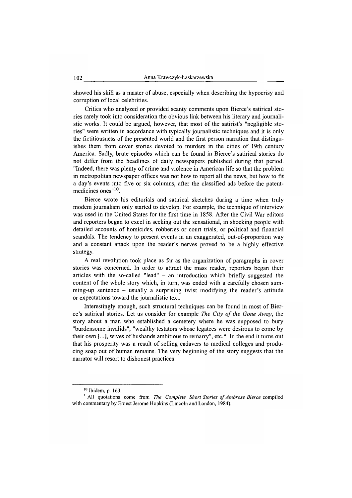showed his skill as a master of abuse, especially when describing the hypocrisy and corruption of local celebrities.

Critics who analyzed or provided scanty comments upon Bierce's satirical stories rarely took into consideration the obvious link between his literary and journalistic works. It could be argued, however, that most of the satirist's "negligible stories" were written in accordance with typically journalistic techniques and it is only the fictitiousness of the presented world and the first person narration that distinguishes them from cover stories devoted to murders in the cities of 19th century America. Sadly, brute episodes which can be found in Bierce's satirical stories do not differ from the headlines of daily newspapers published during that period. "Indeed, there was plenty of crime and violence in American life so that the problem in metropolitan newspaper offices was not how to report all the news, but how to fit a day's events into five or six columns, after the classified ads before the patentmedicines ones"<sup>10</sup>.

Bierce wrote his editorials and satirical sketches during a time when truly modem journalism only started to develop. For example, the technique of interview was used in the United States for the first time in 1858. After the Civil War editors and reporters began to excel in seeking out the sensational, in shocking people with detailed accounts of homicides, robberies or court trials, or political and financial scandals. The tendency to present events in an exaggerated, out-of-proportion way and a constant attack upon the reader's nerves proved to be a highly effective strategy.

A real revolution took place as far as the organization of paragraphs in cover stories was concerned. In order to attract the mass reader, reporters began their articles with the so-called "lead"  $-$  an introduction which briefly suggested the content of the whole story which, in turn, was ended with a carefully chosen summing-up sentence  $-$  usually a surprising twist modifying the reader's attitude or expectations toward the journalistic text.

Interestingly enough, such structural techniques can be found in most of Bierce's satirical stories. Let us consider for example *The City of the Gone Away*, the story about a man who established a cemetery where he was supposed to bury "burdensome invalids", "wealthy testators whose legatees were desirous to come by their own  $[...]$ , wives of husbands ambitious to remarry", etc.\* In the end it turns out that his prosperity was a result of selling cadavers to medical colleges and producing soap out of human remains. The very beginning of the story suggests that the narrator will resort to dishonest practices:

**<sup>10</sup> Ibidem, p. 163.**

**<sup>\*</sup> All quotations come from** *The Complete Short Stories of Ambrose Bierce* **compiled with commentary by Ernest Jerome Hopkins (Lincoln and London, 1984).**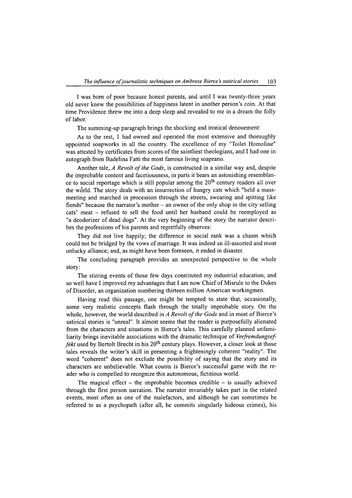I was bom of poor because honest parents, and until I was twenty-three years old never knew the possibilities of happiness latent in another person's coin. At that time Providence threw me into a deep sleep and revealed to me in a dream the folly of labor.

The summing-up paragraph brings the shocking and ironical denouement:

As to the rest, 1 had owned and operated the most extensive and thoroughly appointed soapworks in all the country. The excellence of my "Toilet Homoline" was attested by certificates from scores of the saintliest theologians, and I had one in autograph from Badelina Fatti the most famous living soaprano.

Another tale, *A Revolt of the Gods*, is constructed in a similar way and, despite the improbable content and facetiousness, in parts it bears an astonishing resemblance to social reportage which is still popular among the  $20<sup>th</sup>$  century readers all over the world. The story deals with an insurrection of hungry cats which "held a massmeeting and marched in procession through the streets, swearing and spitting like fiends" because the narrator's mother  $-$  an owner of the only shop in the city selling cats' meat - refused to sell the food until her husband could be reemployed as "a deodorizer of dead dogs". At the very beginning of the story the narrator describes the professions of his parents and regretfully observes:

They did not live happily; the difference in social rank was a chasm which could not be bridged by the vows of marriage. It was indeed an ill-assorted and most unlucky alliance; and, as might have been foreseen, it ended in disaster.

The concluding paragraph provides an unexpected perspective to the whole story:

The stirring events of those few days constituted my industrial education, and so well have I improved my advantages that I am now Chief of Misrule to the Dukes of Disorder, an organization numbering thirteen million American workingmen.

Having read this passage, one might be tempted to state that, occasionally, some very realistic concepts flash through the totally improbable story. On the whole, however, the world described in *A Revolt of the Gods* and in most of Bierce's satirical stories is "unreal". It almost seems that the reader is purposefully alienated from the characters and situations in Bierce's tales. This carefully planned unfamiliarity brings inevitable associations with the dramatic technique of *Verfremdungseffekt* used by Bertolt Brecht in his 20<sup>th</sup> century plays. However, a closer look at those tales reveals the writer's skill in presenting a frighteningly coherent "reality". The word "coherent" does not exclude the possibility of saying that the story and its characters are unbelievable. What counts is Bierce's successful game with the reader who is compelled to recognize this autonomous, fictitious world.

The magical effect  $-$  the improbable becomes credible  $-$  is usually achieved through the first person narration. The narrator invariably takes part in the related events, most often as one of the malefactors, and although he can sometimes be referred to as a psychopath (after all, he commits singularly hideous crimes), his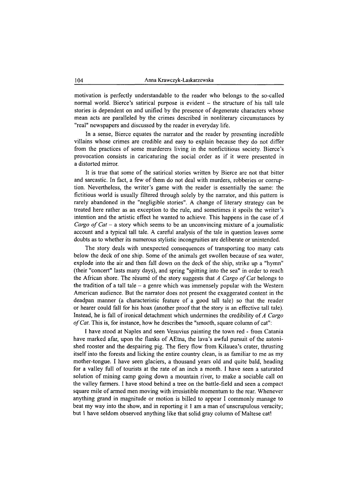motivation is perfectly understandable to the reader who belongs to the so-called normal world. Bierce's satirical purpose is evident - the structure of his tall tale stories is dependent on and unified by the presence of degenerate characters whose mean acts are paralleled by the crimes described in nonliterary circumstances by "real" newspapers and discussed by the reader in everyday life.

In a sense, Bierce equates the narrator and the reader by presenting incredible villains whose crimes are credible and easy to explain because they do not differ from the practices of some murderers living in the nonfictitious society. Bierce's provocation consists in caricaturing the social order as if it were presented in a distorted mirror.

It is true that some of the satirical stories written by Bierce are not that bitter and sarcastic. In fact, a few of them do not deal with murders, robberies or corruption. Nevertheless, the writer's game with the reader is essentially the same: the fictitious world is usually filtered through solely by the narrator, and this pattern is rarely abandoned in the "negligible stories". A change of literary strategy can be treated here rather as an exception to the rule, and sometimes it spoils the writer's intention and the artistic effect he wanted to achieve. This happens in the case of *A Cargo of Cat* – a story which seems to be an unconvincing mixture of a journalistic account and a typical tall tale. A careful analysis of the tale in question leaves some doubts as to whether its numerous stylistic incongruities are deliberate or unintended.

The story deals with unexpected consequences of transporting too many cats below the deck of one ship. Some of the animals get swollen because of sea water, explode into the air and then fall down on the deck of the ship, strike up a "hymn" (their "concert" lasts many days), and spring "spitting into the sea" in order to reach the African shore. The resume of the story suggests that *A Cargo o f Cat* belongs to the tradition of a tall tale  $-$  a genre which was immensely popular with the Western American audience. But the narrator does not present the exaggerated content in the deadpan manner (a characteristic feature of a good tall tale) so that the reader or hearer could fall for his hoax (another proof that the story is an effective tall tale). Instead, he is fall of ironical detachment which undermines the credibility of *A Cargo of Cat.* This is, for instance, how he describes the "smooth, square column of cat":

I have stood at Naples and seen Vesuvius painting the town red - from Catania have marked afar, upon the flanks of AEtna, the lava's awful pursuit of the astonished rooster and the despairing pig. The fiery flow from Kilauea's crater, thrusting itself into the forests and licking the entire country clean, is as familiar to me as my mother-tongue. I have seen glaciers, a thousand years old and quite bald, heading for a valley full of tourists at the rate of an inch a month. I have seen a saturated solution of mining camp going down a mountain river, to make a sociable call on the valley farmers. I have stood behind a tree on the battle-field and seen a compact square mile of armed men moving with irresistible momentum to the rear. Whenever anything grand in magnitude or motion is billed to appear I commonly manage to beat my way into the show, and in reporting it 1 am a man of unscrupulous veracity; but 1 have seldom observed anything like that solid gray column of Maltese cat!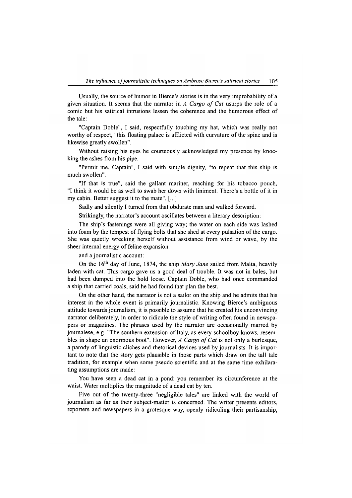Usually, the source of humor in Bierce's stories is in the very improbability of a given situation. It seems that the narrator in *A Cargo o f Cat* usurps the role of a comic but his satirical intrusions lessen the coherence and the humorous effect of the tale:

"Captain Doble", I said, respectfully touching my hat, which was really not worthy of respect, "this floating palace is afflicted with curvature of the spine and is likewise greatly swollen".

Without raising his eyes he courteously acknowledged my presence by knocking the ashes from his pipe.

"Permit me, Captain", I said with simple dignity, "to repeat that this ship is much swollen".

"If that is true", said the gallant mariner, reaching for his tobacco pouch, "I think it would be as well to swab her down with liniment. There's a bottle of it in my cabin. Better suggest it to the mate". [...]

Sadly and silently I turned from that obdurate man and walked forward.

Strikingly, the narrator's account oscillates between a literary description:

The ship's fastenings were all giving way; the water on each side was lashed into foam by the tempest of flying bolts that she shed at every pulsation of the cargo. She was quietly wrecking herself without assistance from wind or wave, by the sheer internal energy of feline expansion.

and a journalistic account:

On the 16th day of June, 1874, the ship *Mary Jane* sailed from Malta, heavily laden with cat. This cargo gave us a good deal of trouble. It was not in bales, but had been dumped into the hold loose. Captain Doble, who had once commanded a ship that carried coals, said he had found that plan the best.

On the other hand, the narrator is not a sailor on the ship and he admits that his interest in the whole event is primarily journalistic. Knowing Bierce's ambiguous attitude towards journalism, it is possible to assume that he created his unconvincing narrator deliberately, in order to ridicule the style of writing often found in newspapers or magazines. The phrases used by the narrator are occasionally marred by journalese, e.g. "The southern extension of Italy, as every schoolboy knows, resembles in shape an enormous boot". However, *A Cargo of Cat* is not only a burlesque, a parody of linguistic cliches and rhetorical devices used by journalists. It is important to note that the story gets plausible in those parts which draw on the tall tale tradition, for example when some pseudo scientific and at the same time exhilarating assumptions are made:

You have seen a dead cat in a pond: you remember its circumference at the waist. Water multiplies the magnitude of a dead cat by ten.

Five out of the twenty-three "negligible tales" are linked with the world of journalism as far as their subject-matter is concerned. The writer presents editors, reporters and newspapers in a grotesque way, openly ridiculing their partisanship,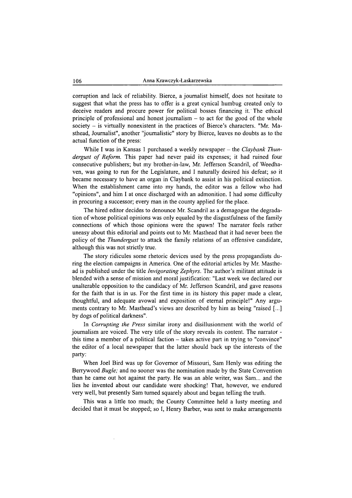corruption and lack of reliability. Bierce, a journalist himself, does not hesitate to suggest that what the press has to offer is a great cynical humbug created only to deceive readers and procure power for political bosses financing it. The ethical principle of professional and honest journalism  $-$  to act for the good of the whole society - is virtually nonexistent in the practices of Bierce's characters. "Mr. Masthead, Journalist", another "journalistic" story by Bierce, leaves no doubts as to the actual function of the press:

While I was in Kansas 1 purchased a weekly newspaper – the *Claybank Thundergust of Reform*. This paper had never paid its expenses; it had ruined four consecutive publishers; but my brother-in-law, Mr. Jefferson Scandril, of Weedhaven, was going to run for the Legislature, and I naturally desired his defeat; so it became necessary to have an organ in Claybank to assist in his political extinction. When the establishment came into my hands, the editor was a fellow who had "opinions", and him I at once discharged with an admonition. I had some difficulty in procuring a successor; every man in the county applied for the place.

The hired editor decides to denounce Mr. Scandril as a demagogue the degradation of whose political opinions was only equaled by the disgustfulness of the family connections of which those opinions were the spawn! The narrator feels rather uneasy about this editorial and points out to Mr. Masthead that it had never been the policy of the *Thundergust* to attack the family relations of an offensive candidate, although this was not strictly true.

The story ridicules some rhetoric devices used by the press propagandists during the election campaigns in America. One of the editorial articles by Mr. Masthead is published under the title *Invigorating Zephyrs.* The author's militant attitude is blended with a sense of mission and moral justification: "Last week we declared our unalterable opposition to the candidacy of Mr. Jefferson Scandril, and gave reasons for the faith that is in us. For the first time in its history this paper made a clear, thoughtful, and adequate avowal and exposition of eternal principle!" Any arguments contrary to Mr. Masthead's views are described by him as being "raised [...] by dogs of political darkness".

In *Corrupting the Press* similar irony and disillusionment with the world of journalism are voiced. The very title of the story reveals its content. The narrator this time a member of a political faction  $-$  takes active part in trying to "convince" the editor of a local newspaper that the latter should back up the interests of the party:

When Joel Bird was up for Governor of Missouri, Sam Henly was editing the Berrywood *Bugle;* and no sooner was the nomination made by the State Convention than he came out hot against the party. He was an able writer, was Sam... and the lies he invented about our candidate were shocking! That, however, we endured very well, but presently Sam turned squarely about and began telling the truth.

This was a little too much; the County Committee held a lusty meeting and decided that it must be stopped; so I, Henry Barber, was sent to make arrangements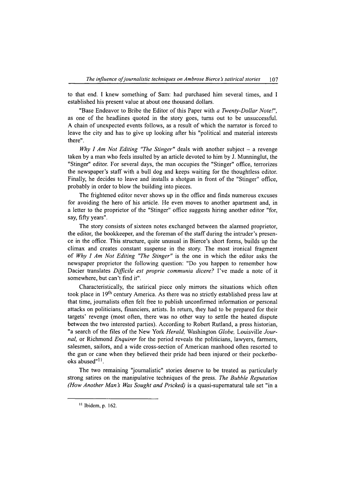to that end. I knew something of Sam: had purchased him several times, and I established his present value at about one thousand dollars.

"Base Endeavor to Bribe the Editor of this Paper with *a Twenty-Dollar Note!",* as one of the headlines quoted in the story goes, turns out to be unsuccessful. A chain of unexpected events follows, as a result of which the narrator is forced to leave the city and has to give up looking after his "political and material interests there".

*Why I Am Not Editing "The Stinger"* deals with another subject – a revenge taken by a man who feels insulted by an article devoted to him by J. Munninglut, the "Stinger" editor. For several days, the man occupies the "Stinger" office, terrorizes the newspaper's staff with a bull dog and keeps waiting for the thoughtless editor. Finally, he decides to leave and installs a shotgun in front of the "Stinger" office, probably in order to blow the building into pieces.

The frightened editor never shows up in the office and finds numerous excuses for avoiding the hero of his article. He even moves to another apartment and, in a letter to the proprietor of the "Stinger" office suggests hiring another editor "for, say, fifty years".

The story consists of sixteen notes exchanged between the alarmed proprietor, the editor, the bookkeeper, and the foreman of the staff during the intruder's presence in the office. This structure, quite unusual in Bierce's short forms, builds up the climax and creates constant suspense in the story. The most ironical fragment of *Why I Am Not Editing "The Stinger"* is the one in which the editor asks the newspaper proprietor the following question: "Do you happen to remember how Dacier translates *Difficile est proprie communia dicere?* I've made a note of it somewhere, but can't find it".

Characteristically, the satirical piece only mirrors the situations which often took place in 19th century America. As there was no strictly established press law at that time, journalists often felt free to publish unconfirmed information or personal attacks on politicians, financiers, artists. In return, they had to be prepared for their targets' revenge (most often, there was no other way to settle the heated dispute between the two interested parties). According to Robert Rutland, a press historian, "a search of the files of the New York *Herald,* Washington *Globe,* Louisville *Journal,* or Richmond *Enquirer* for the period reveals the politicians, lawyers, farmers, salesmen, sailors, and a wide cross-section of American manhood often resorted to the gun or cane when they believed their pride had been injured or their pocketbooks abused"1'.

The two remaining "journalistic" stories deserve to be treated as particularly strong satires on the manipulative techniques of the press. *The Bubble Reputation (How Another Man s Was Sought and Pricked)* is a quasi-supematural tale set "in a 1

**<sup>11</sup> Ibidem, p. 162.**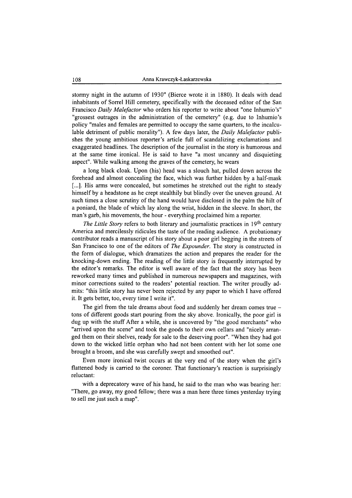stormy night in the autumn of 1930" (Bierce wrote it in 1880). It deals with dead inhabitants of Sorrel Hill cemetery, specifically with the deceased editor of the San Francisco *Daily Malefactor* who orders his reporter to write about "one Inhumio's" "grossest outrages in the administration of the cemetery" (e.g. due to Inhumio's policy "males and females are permitted to occupy the same quarters, to the incalculable detriment of public morality"). A few days later, the *Daily Malefactor* publishes the young ambitious reporter's article full of scandalizing exclamations and exaggerated headlines. The description of the journalist in the story is humorous and at the same time ironical. He is said to have "a most uncanny and disquieting aspect". While walking among the graves of the cemetery, he wears

a long black cloak. Upon (his) head was a slouch hat, pulled down across the forehead and almost concealing the face, which was further hidden by a half-mask [...]. His arms were concealed, but sometimes he stretched out the right to steady himself by a headstone as he crept stealthily but blindly over the uneven ground. At such times a close scrutiny of the hand would have disclosed in the palm the hilt of a poniard, the blade of which lay along the wrist, hidden in the sleeve. In short, the man's garb, his movements, the hour - everything proclaimed him a reporter.

*The Little Story* refers to both literary and journalistic practices in 19th century America and mercilessly ridicules the taste of the reading audience. A probationary contributor reads a manuscript of his story about a poor girl begging in the streets of San Francisco to one of the editors of *The Expounder.* The story is constructed in the form of dialogue, which dramatizes the action and prepares the reader for the knocking-down ending. The reading of the little story is frequently interrupted by the editor's remarks. The editor is well aware of the fact that the story has been reworked many times and published in numerous newspapers and magazines, with minor corrections suited to the readers' potential reaction. The writer proudly admits: "this little story has never been rejected by any paper to which I have offered it. It gets better, too, every time I write it".

The girl from the tale dreams about food and suddenly her dream comes true – tons of different goods start pouring from the sky above. Ironically, the poor girl is dug up with the stuff After a while, she is uncovered by "the good merchants" who "arrived upon the scene" and took the goods to their own cellars and "nicely arranged them on their shelves, ready for sale to the deserving poor". "When they had got down to the wicked little orphan who had not been content with her lot some one brought a broom, and she was carefully swept and smoothed out".

Even more ironical twist occurs at the very end of the story when the girl's flattened body is carried to the coroner. That functionary's reaction is surprisingly reluctant:

with a deprecatory wave of his hand, he said to the man who was bearing her: "There, go away, my good fellow; there was a man here three times yesterday trying to sell me just such a map".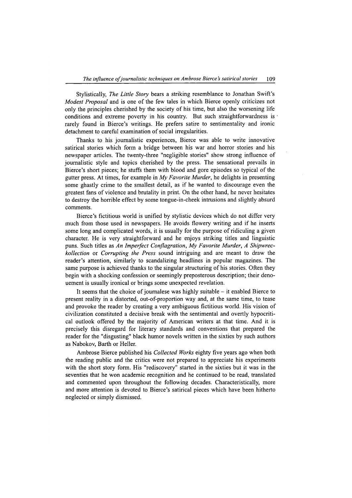Stylistically, *The Little Story* bears a striking resemblance to Jonathan Swift's *Modest Proposal* and is one of the few tales in which Bierce openly criticizes not only the principles cherished by the society of his time, but also the worsening life conditions and extreme poverty in his country. But such straightforwardness is  $\theta$ rarely found in Bierce's writings. He prefers satire to sentimentality and ironic detachment to careful examination of social irregularities.

Thanks to his journalistic experiences, Bierce was able to write innovative satirical stories which form a bridge between his war and horror stories and his newspaper articles. The twenty-three "negligible stories" show strong influence of journalistic style and topics cherished by the press. The sensational prevails in Bierce's short pieces; he stuffs them with blood and gore episodes so typical of the gutter press. At times, for example in *My Favorite Murder,* he delights in presenting some ghastly crime to the smallest detail, as if he wanted to discourage even the greatest fans of violence and brutality in print. On the other hand, he never hesitates to destroy the horrible effect by some tongue-in-cheek intrusions and slightly absurd comments.

Bierce's fictitious world is unified by stylistic devices which do not differ very much from those used in newspapers. He avoids flowery writing and if he inserts some long and complicated words, it is usually for the purpose of ridiculing a given character. He is very straightforward and he enjoys striking titles and linguistic puns. Such titles as *An Imperfect Conflagration, My Favorite Murder, A Shipwreckollection* or *Corrupting the Press* sound intriguing and are meant to draw the reader's attention, similarly to scandalizing headlines in popular magazines. The same purpose is achieved thanks to the singular structuring of his stories. Often they begin with a shocking confession or seemingly preposterous description; their denouement is usually ironical or brings some unexpected revelation.

It seems that the choice of journalese was highly suitable  $-$  it enabled Bierce to present reality in a distorted, out-of-proportion way and, at the same time, to tease and provoke the reader by creating a very ambiguous fictitious world. His vision of civilization constituted a decisive break with the sentimental and overtly hypocritical outlook offered by the majority of American writers at that time. And it is precisely this disregard for literary standards and conventions that prepared the reader for the "disgusting" black humor novels written in the sixties by such authors as Nabokov, Barth or Heller.

Ambrose Bierce published his *Collected Works* eighty five years ago when both the reading public and the critics were not prepared to appreciate his experiments with the short story form. His "rediscovery" started in the sixties but it was in the seventies that he won academic recognition and he continued to be read, translated and commented upon throughout the following decades. Characteristically, more and more attention is devoted to Bierce's satirical pieces which have been hitherto neglected or simply dismissed.